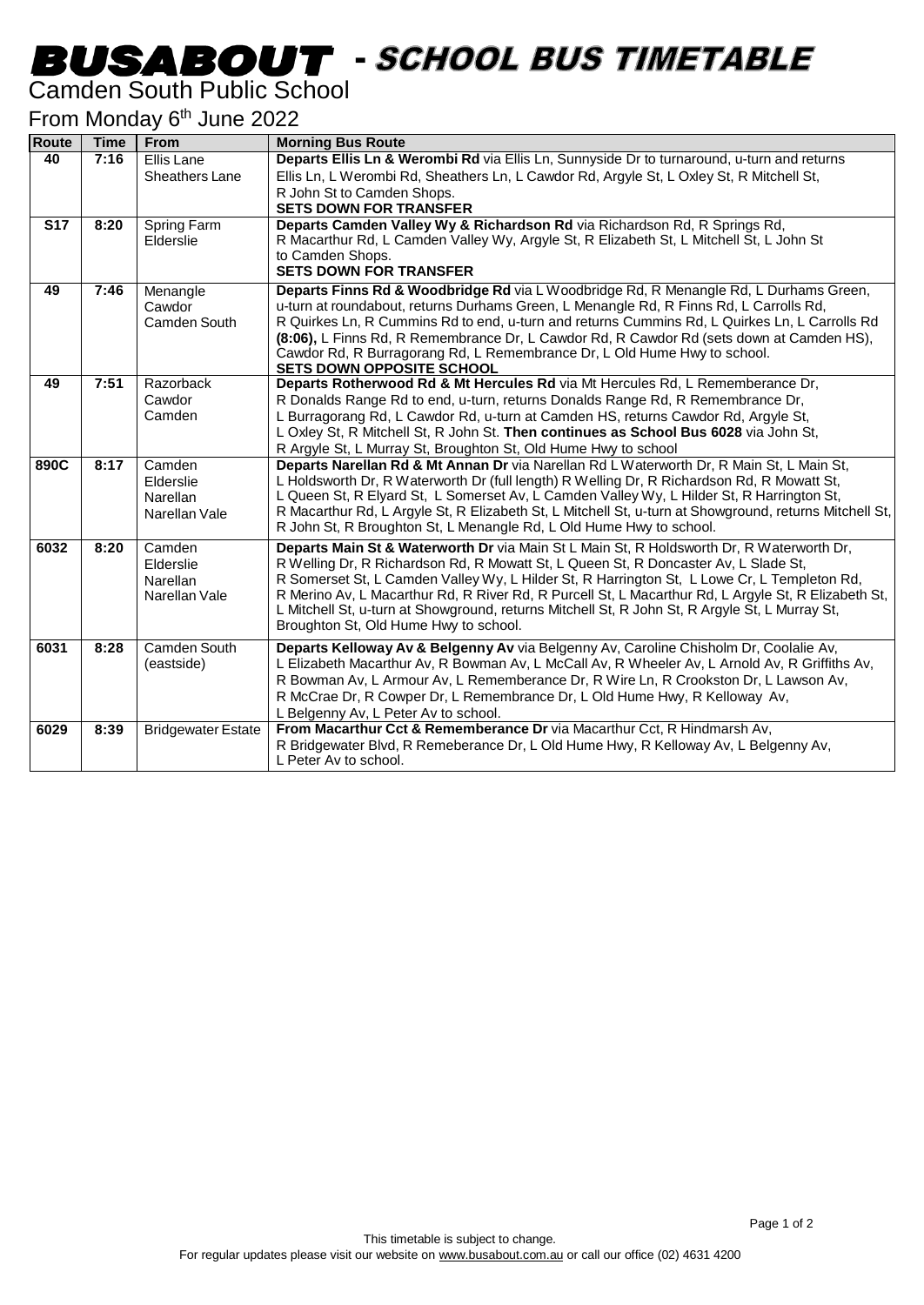## -

#### Camden South Public School

#### From Monday 6<sup>th</sup> June 2022

| <b>Route</b> | <b>Time</b> | <b>From</b>                                      | <b>Morning Bus Route</b>                                                                                                                                                                                                                                                                                                                                                                                                                                                                                                         |
|--------------|-------------|--------------------------------------------------|----------------------------------------------------------------------------------------------------------------------------------------------------------------------------------------------------------------------------------------------------------------------------------------------------------------------------------------------------------------------------------------------------------------------------------------------------------------------------------------------------------------------------------|
| 40           | 7:16        | Ellis Lane<br>Sheathers Lane                     | Departs Ellis Ln & Werombi Rd via Ellis Ln, Sunnyside Dr to turnaround, u-turn and returns<br>Ellis Ln, L Werombi Rd, Sheathers Ln, L Cawdor Rd, Argyle St, L Oxley St, R Mitchell St,<br>R John St to Camden Shops.<br><b>SETS DOWN FOR TRANSFER</b>                                                                                                                                                                                                                                                                            |
| <b>S17</b>   | 8:20        | <b>Spring Farm</b><br>Elderslie                  | Departs Camden Valley Wy & Richardson Rd via Richardson Rd, R Springs Rd,<br>R Macarthur Rd, L Camden Valley Wy, Argyle St, R Elizabeth St, L Mitchell St, L John St<br>to Camden Shops.<br><b>SETS DOWN FOR TRANSFER</b>                                                                                                                                                                                                                                                                                                        |
| 49           | 7:46        | Menangle<br>Cawdor<br>Camden South               | Departs Finns Rd & Woodbridge Rd via L Woodbridge Rd, R Menangle Rd, L Durhams Green,<br>u-turn at roundabout, returns Durhams Green, L Menangle Rd, R Finns Rd, L Carrolls Rd,<br>R Quirkes Ln, R Cummins Rd to end, u-turn and returns Cummins Rd, L Quirkes Ln, L Carrolls Rd<br>(8:06), L Finns Rd, R Remembrance Dr, L Cawdor Rd, R Cawdor Rd (sets down at Camden HS),<br>Cawdor Rd, R Burragorang Rd, L Remembrance Dr, L Old Hume Hwy to school.<br><b>SETS DOWN OPPOSITE SCHOOL</b>                                     |
| 49           | 7:51        | Razorback<br>Cawdor<br>Camden                    | Departs Rotherwood Rd & Mt Hercules Rd via Mt Hercules Rd, L Rememberance Dr,<br>R Donalds Range Rd to end, u-turn, returns Donalds Range Rd, R Remembrance Dr,<br>L Burragorang Rd, L Cawdor Rd, u-turn at Camden HS, returns Cawdor Rd, Argyle St,<br>L Oxley St, R Mitchell St, R John St. Then continues as School Bus 6028 via John St,<br>R Argyle St, L Murray St, Broughton St, Old Hume Hwy to school                                                                                                                   |
| 890C         | 8:17        | Camden<br>Elderslie<br>Narellan<br>Narellan Vale | Departs Narellan Rd & Mt Annan Dr via Narellan Rd L Waterworth Dr, R Main St, L Main St,<br>L Holdsworth Dr, R Waterworth Dr (full length) R Welling Dr, R Richardson Rd, R Mowatt St,<br>L Queen St, R Elyard St, L Somerset Av, L Camden Valley Wy, L Hilder St, R Harrington St,<br>R Macarthur Rd, L Argyle St, R Elizabeth St, L Mitchell St, u-turn at Showground, returns Mitchell St,<br>R John St, R Broughton St, L Menangle Rd, L Old Hume Hwy to school.                                                             |
| 6032         | 8:20        | Camden<br>Elderslie<br>Narellan<br>Narellan Vale | Departs Main St & Waterworth Dr via Main St L Main St, R Holdsworth Dr, R Waterworth Dr,<br>R Welling Dr, R Richardson Rd, R Mowatt St, L Queen St, R Doncaster Av, L Slade St,<br>R Somerset St, L Camden Valley Wy, L Hilder St, R Harrington St, L Lowe Cr, L Templeton Rd,<br>R Merino Av, L Macarthur Rd, R River Rd, R Purcell St, L Macarthur Rd, L Argyle St, R Elizabeth St,<br>L Mitchell St, u-turn at Showground, returns Mitchell St, R John St, R Argyle St, L Murray St,<br>Broughton St, Old Hume Hwy to school. |
| 6031         | 8:28        | <b>Camden South</b><br>(eastside)                | Departs Kelloway Av & Belgenny Av via Belgenny Av, Caroline Chisholm Dr, Coolalie Av,<br>L Elizabeth Macarthur Av, R Bowman Av, L McCall Av, R Wheeler Av, L Arnold Av, R Griffiths Av,<br>R Bowman Av, L Armour Av, L Rememberance Dr, R Wire Ln, R Crookston Dr, L Lawson Av,<br>R McCrae Dr, R Cowper Dr, L Remembrance Dr, L Old Hume Hwy, R Kelloway Av,<br>L Belgenny Av, L Peter Av to school.                                                                                                                            |
| 6029         | 8:39        | <b>Bridgewater Estate</b>                        | From Macarthur Cct & Rememberance Dr via Macarthur Cct, R Hindmarsh Av,<br>R Bridgewater Blvd, R Remeberance Dr, L Old Hume Hwy, R Kelloway Av, L Belgenny Av,<br>L Peter Av to school.                                                                                                                                                                                                                                                                                                                                          |